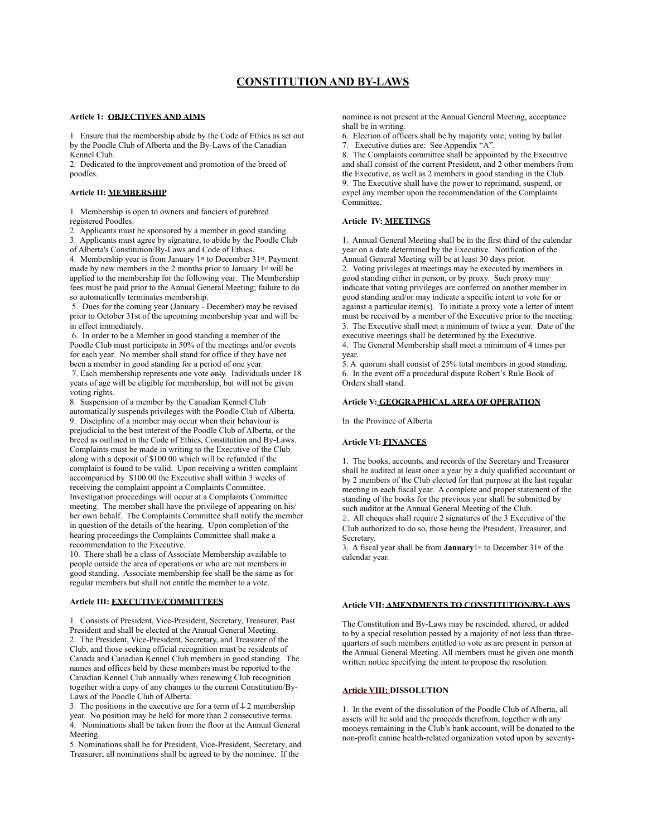### **Article 1: OBJECTIVES AND AIMS**

1. Ensure that the membership abide by the Code of Ethics as set out by the Poodle Club of Alberta and the By-Laws of the Canadian Kennel Club.

2. Dedicated to the improvement and promotion of the breed of poodles.

### **Article II: MEMBERSHIP**

1. Membership is open to owners and fanciers of purebred registered Poodles.

2. Applicants must be sponsored by a member in good standing. 3. Applicants must agree by signature, to abide by the Poodle Club of Alberta's Constitution/By-Laws and Code of Ethics.

4. Membership year is from January 1st to December 31st. Payment made by new members in the 2 months prior to January 1st will be applied to the membership for the following year. The Membership fees must be paid prior to the Annual General Meeting; failure to do so automatically terminates membership.

 5. Dues for the coming year (January - December) may be revised prior to October 31st of the upcoming membership year and will be in effect immediately.

 6. In order to be a Member in good standing a member of the Poodle Club must participate in 50% of the meetings and/or events for each year. No member shall stand for office if they have not been a member in good standing for a period of one year.

 7. Each membership represents one vote only. Individuals under 18 years of age will be eligible for membership, but will not be given voting rights.

8. Suspension of a member by the Canadian Kennel Club automatically suspends privileges with the Poodle Club of Alberta. 9. Discipline of a member may occur when their behaviour is prejudicial to the best interest of the Poodle Club of Alberta, or the breed as outlined in the Code of Ethics, Constitution and By-Laws. Complaints must be made in writing to the Executive of the Club along with a deposit of \$100.00 which will be refunded if the complaint is found to be valid. Upon receiving a written complaint accompanied by \$100.00 the Executive shall within 3 weeks of receiving the complaint appoint a Complaints Committee. Investigation proceedings will occur at a Complaints Committee meeting. The member shall have the privilege of appearing on his/ her own behalf. The Complaints Committee shall notify the member in question of the details of the hearing. Upon completion of the hearing proceedings the Complaints Committee shall make a recommendation to the Executive.

10. There shall be a class of Associate Membership available to people outside the area of operations or who are not members in good standing. Associate membership fee shall be the same as for regular members but shall not entitle the member to a vote.

### **Article III: EXECUTIVE/COMMITTEES**

1. Consists of President, Vice-President, Secretary, Treasurer, Past President and shall be elected at the Annual General Meeting. 2. The President, Vice-President, Secretary, and Treasurer of the Club, and those seeking official recognition must be residents of Canada and Canadian Kennel Club members in good standing. The names and offices held by these members must be reported to the Canadian Kennel Club annually when renewing Club recognition together with a copy of any changes to the current Constitution/By-Laws of the Poodle Club of Alberta.

3. The positions in the executive are for a term of  $\frac{1}{2}$  membership year. No position may be held for more than 2 consecutive terms. 4. Nominations shall be taken from the floor at the Annual General Meeting.

5. Nominations shall be for President, Vice-President, Secretary, and Treasurer; all nominations shall be agreed to by the nominee. If the

nominee is not present at the Annual General Meeting, acceptance shall be in writing.

6. Election of officers shall be by majority vote; voting by ballot.

7. Executive duties are: See Appendix "A".

8. The Complaints committee shall be appointed by the Executive and shall consist of the current President, and 2 other members from the Executive, as well as 2 members in good standing in the Club. 9. The Executive shall have the power to reprimand, suspend, or expel any member upon the recommendation of the Complaints Committee.

# **Article IV: MEETINGS**

1. Annual General Meeting shall be in the first third of the calendar year on a date determined by the Executive. Notification of the Annual General Meeting will be at least 30 days prior. 2. Voting privileges at meetings may be executed by members in good standing either in person, or by proxy. Such proxy may indicate that voting privileges are conferred on another member in good standing and/or may indicate a specific intent to vote for or against a particular item(s). To initiate a proxy vote a letter of intent must be received by a member of the Executive prior to the meeting. 3. The Executive shall meet a minimum of twice a year. Date of the executive meetings shall be determined by the Executive.

4. The General Membership shall meet a minimum of 4 times per year.

5. A quorum shall consist of 25% total members in good standing. 6. In the event off a procedural dispute Robert's Rule Book of Orders shall stand.

### **Article V: GEOGRAPHICAL AREA OF OPERATION**

In the Province of Alberta

### **Article VI: FINANCES**

1. The books, accounts, and records of the Secretary and Treasurer shall be audited at least once a year by a duly qualified accountant or by 2 members of the Club elected for that purpose at the last regular meeting in each fiscal year. A complete and proper statement of the standing of the books for the previous year shall be submitted by such auditor at the Annual General Meeting of the Club.

2. All cheques shall require 2 signatures of the 3 Executive of the Club authorized to do so, those being the President, Treasurer, and Secretary.

3. A fiscal year shall be from **January**1st to December 31st of the calendar year.

### **Article VII: AMENDMENTS TO CONSTITUTION/BY-LAWS**

The Constitution and By-Laws may be rescinded, altered, or added to by a special resolution passed by a majority of not less than threequarters of such members entitled to vote as are present in person at the Annual General Meeting. All members must be given one month written notice specifying the intent to propose the resolution.

# **Article VIII: DISSOLUTION**

1. In the event of the dissolution of the Poodle Club of Alberta, all assets will be sold and the proceeds therefrom, together with any moneys remaining in the Club's bank account, will be donated to the non-profit canine health-related organization voted upon by seventy